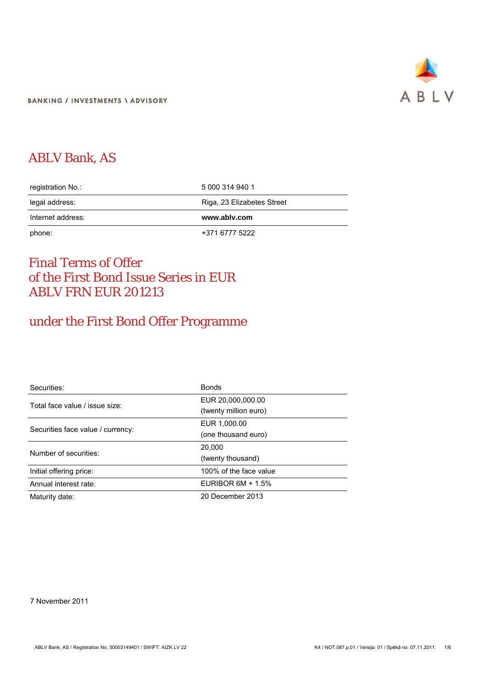

# ABLV Bank, AS

| registration No.: | 5 000 314 940 1            |  |
|-------------------|----------------------------|--|
| legal address:    | Riga, 23 Elizabetes Street |  |
|                   |                            |  |
| Internet address: | www.ablv.com               |  |

# Final Terms of Offer of the First Bond Issue Series in EUR ABLV FRN EUR 201213

# under the First Bond Offer Programme

| Securities:                       | <b>Bonds</b>           |
|-----------------------------------|------------------------|
| Total face value / issue size:    | EUR 20,000,000.00      |
|                                   | (twenty million euro)  |
| Securities face value / currency: | EUR 1.000.00           |
|                                   | (one thousand euro)    |
| Number of securities:             | 20,000                 |
|                                   | (twenty thousand)      |
| Initial offering price:           | 100% of the face value |
| Annual interest rate:             | EURIBOR $6M + 1.5\%$   |
| Maturity date:                    | 20 December 2013       |

7 November 2011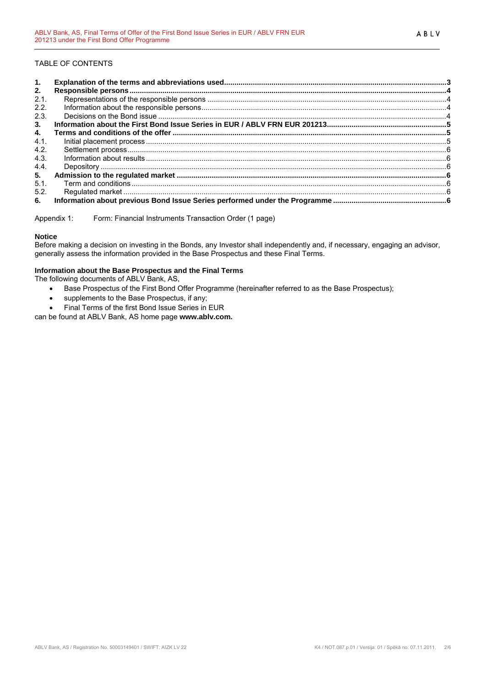# TABLE OF CONTENTS

| 1.   |  |
|------|--|
| 2.   |  |
| 2.1. |  |
| 2.2. |  |
| 2.3. |  |
| 3.   |  |
| 4.   |  |
| 4.1. |  |
| 4.2. |  |
| 4.3. |  |
| 4.4. |  |
| 5.   |  |
| 5.1. |  |
| 5.2. |  |
| 6.   |  |

Appendix 1: Form: Financial Instruments Transaction Order (1 page)

## **Notice**

Before making a decision on investing in the Bonds, any Investor shall independently and, if necessary, engaging an advisor, generally assess the information provided in the Base Prospectus and these Final Terms.

### **Information about the Base Prospectus and the Final Terms**

The following documents of ABLV Bank, AS,

- Base Prospectus of the First Bond Offer Programme (hereinafter referred to as the Base Prospectus);
- supplements to the Base Prospectus, if any;
- Final Terms of the first Bond Issue Series in EUR

can be found at ABLV Bank, AS home page **[www.ablv.com.](http://www.ablv.com/)**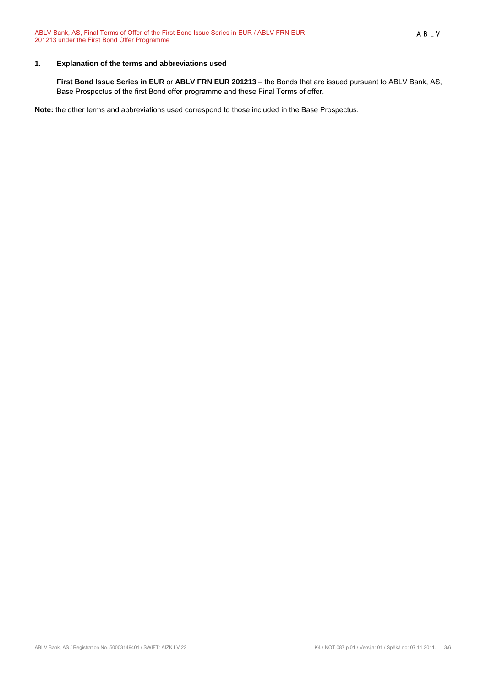# <span id="page-2-0"></span>**1. Explanation of the terms and abbreviations used**

**First Bond Issue Series in EUR** or **ABLV FRN EUR 201213** – the Bonds that are issued pursuant to ABLV Bank, AS, Base Prospectus of the first Bond offer programme and these Final Terms of offer.

**Note:** the other terms and abbreviations used correspond to those included in the Base Prospectus.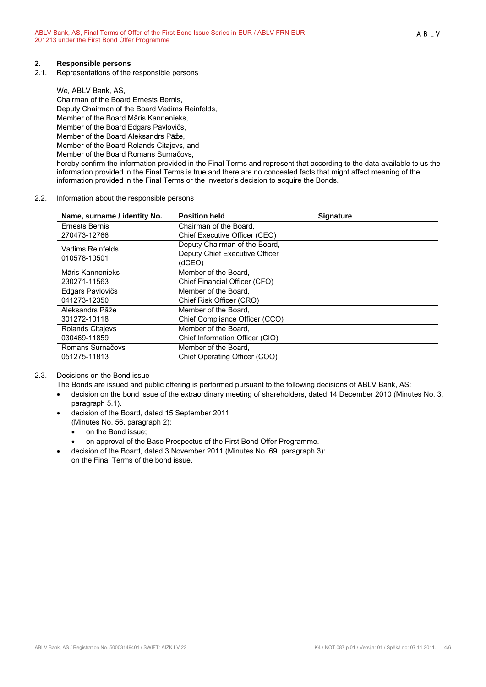# <span id="page-3-0"></span>**2. Responsible persons**

2.1. Representations of the responsible persons

We, ABLV Bank, AS, Chairman of the Board Ernests Bernis, Deputy Chairman of the Board Vadims Reinfelds, Member of the Board Māris Kannenieks, Member of the Board Edgars Pavlovičs, Member of the Board Aleksandrs Pāže, Member of the Board Rolands Citajevs, and Member of the Board Romans Surnačovs, hereby confirm the information provided in the Final Terms and represent that according to the data available to us the information provided in the Final Terms is true and there are no concealed facts that might affect meaning of the information provided in the Final Terms or the Investor's decision to acquire the Bonds.

#### 2.2. Information about the responsible persons

| Name, surname / identity No. | <b>Position held</b>            | <b>Signature</b> |
|------------------------------|---------------------------------|------------------|
| Ernests Bernis               | Chairman of the Board.          |                  |
| 270473-12766                 | Chief Executive Officer (CEO)   |                  |
| Vadims Reinfelds             | Deputy Chairman of the Board,   |                  |
|                              | Deputy Chief Executive Officer  |                  |
| 010578-10501                 | (dCEO)                          |                  |
| Māris Kannenieks             | Member of the Board,            |                  |
| 230271-11563                 | Chief Financial Officer (CFO)   |                  |
| Edgars Pavlovičs             | Member of the Board.            |                  |
| 041273-12350                 | Chief Risk Officer (CRO)        |                  |
| Aleksandrs Pāže              | Member of the Board.            |                  |
| 301272-10118                 | Chief Compliance Officer (CCO)  |                  |
| Rolands Citajevs             | Member of the Board.            |                  |
| 030469-11859                 | Chief Information Officer (CIO) |                  |
| Romans Surnačovs             | Member of the Board,            |                  |
| 051275-11813                 | Chief Operating Officer (COO)   |                  |

## 2.3. Decisions on the Bond issue

- The Bonds are issued and public offering is performed pursuant to the following decisions of ABLV Bank, AS:
- decision on the bond issue of the extraordinary meeting of shareholders, dated 14 December 2010 (Minutes No. 3, paragraph 5.1).
- decision of the Board, dated 15 September 2011 (Minutes No. 56, paragraph 2):
	-
	- on the Bond issue;
	- on approval of the Base Prospectus of the First Bond Offer Programme.
- decision of the Board, dated 3 November 2011 (Minutes No. 69, paragraph 3): on the Final Terms of the bond issue.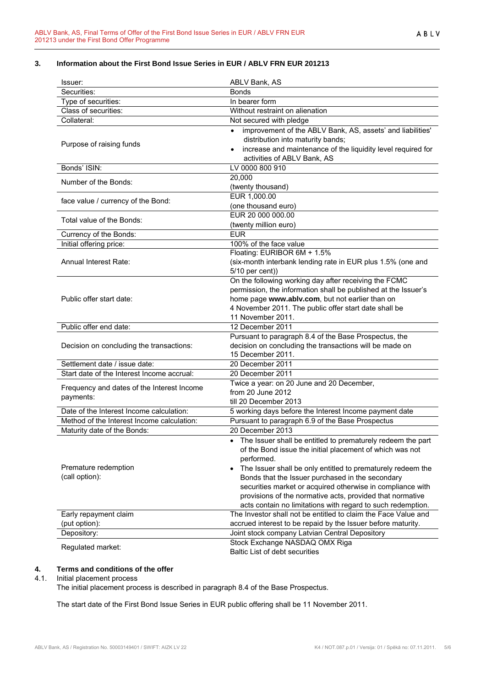# <span id="page-4-0"></span>**3. Information about the First Bond Issue Series in EUR / ABLV FRN EUR 201213**

| Issuer:                                                 | ABLV Bank, AS                                                                                                                                                                                                                                                                                                                                                                                                                                        |
|---------------------------------------------------------|------------------------------------------------------------------------------------------------------------------------------------------------------------------------------------------------------------------------------------------------------------------------------------------------------------------------------------------------------------------------------------------------------------------------------------------------------|
| Securities:                                             | <b>Bonds</b>                                                                                                                                                                                                                                                                                                                                                                                                                                         |
| Type of securities:                                     | In bearer form                                                                                                                                                                                                                                                                                                                                                                                                                                       |
| Class of securities:                                    | Without restraint on alienation                                                                                                                                                                                                                                                                                                                                                                                                                      |
| Collateral:                                             | Not secured with pledge                                                                                                                                                                                                                                                                                                                                                                                                                              |
| Purpose of raising funds                                | improvement of the ABLV Bank, AS, assets' and liabilities'<br>distribution into maturity bands;<br>increase and maintenance of the liquidity level required for<br>activities of ABLV Bank, AS                                                                                                                                                                                                                                                       |
| Bonds' ISIN:                                            | LV 0000 800 910                                                                                                                                                                                                                                                                                                                                                                                                                                      |
| Number of the Bonds:                                    | 20,000<br>(twenty thousand)                                                                                                                                                                                                                                                                                                                                                                                                                          |
| face value / currency of the Bond:                      | EUR 1,000.00<br>(one thousand euro)                                                                                                                                                                                                                                                                                                                                                                                                                  |
| Total value of the Bonds:                               | EUR 20 000 000.00<br>(twenty million euro)                                                                                                                                                                                                                                                                                                                                                                                                           |
| Currency of the Bonds:                                  | <b>EUR</b>                                                                                                                                                                                                                                                                                                                                                                                                                                           |
| Initial offering price:                                 | 100% of the face value                                                                                                                                                                                                                                                                                                                                                                                                                               |
| Annual Interest Rate:                                   | Floating: EURIBOR 6M + 1.5%<br>(six-month interbank lending rate in EUR plus 1.5% (one and<br>5/10 per cent))                                                                                                                                                                                                                                                                                                                                        |
| Public offer start date:                                | On the following working day after receiving the FCMC<br>permission, the information shall be published at the Issuer's<br>home page www.ablv.com, but not earlier than on<br>4 November 2011. The public offer start date shall be<br>11 November 2011.                                                                                                                                                                                             |
| Public offer end date:                                  | 12 December 2011                                                                                                                                                                                                                                                                                                                                                                                                                                     |
| Decision on concluding the transactions:                | Pursuant to paragraph 8.4 of the Base Prospectus, the<br>decision on concluding the transactions will be made on<br>15 December 2011.                                                                                                                                                                                                                                                                                                                |
| Settlement date / issue date:                           | 20 December 2011                                                                                                                                                                                                                                                                                                                                                                                                                                     |
| Start date of the Interest Income accrual:              | 20 December 2011                                                                                                                                                                                                                                                                                                                                                                                                                                     |
| Frequency and dates of the Interest Income<br>payments: | Twice a year: on 20 June and 20 December,<br>from 20 June 2012<br>till 20 December 2013                                                                                                                                                                                                                                                                                                                                                              |
| Date of the Interest Income calculation:                | 5 working days before the Interest Income payment date                                                                                                                                                                                                                                                                                                                                                                                               |
| Method of the Interest Income calculation:              | Pursuant to paragraph 6.9 of the Base Prospectus                                                                                                                                                                                                                                                                                                                                                                                                     |
| Maturity date of the Bonds:                             | 20 December 2013                                                                                                                                                                                                                                                                                                                                                                                                                                     |
| Premature redemption<br>(call option):                  | • The Issuer shall be entitled to prematurely redeem the part<br>of the Bond issue the initial placement of which was not<br>performed.<br>The Issuer shall be only entitled to prematurely redeem the<br>Bonds that the Issuer purchased in the secondary<br>securities market or acquired otherwise in compliance with<br>provisions of the normative acts, provided that normative<br>acts contain no limitations with regard to such redemption. |
| Early repayment claim                                   | The Investor shall not be entitled to claim the Face Value and                                                                                                                                                                                                                                                                                                                                                                                       |
| (put option):                                           | accrued interest to be repaid by the Issuer before maturity.                                                                                                                                                                                                                                                                                                                                                                                         |
| Depository:                                             | Joint stock company Latvian Central Depository                                                                                                                                                                                                                                                                                                                                                                                                       |
| Regulated market:                                       | Stock Exchange NASDAQ OMX Riga<br>Baltic List of debt securities                                                                                                                                                                                                                                                                                                                                                                                     |

# **4. Terms and conditions of the offer**

# 4.1. Initial placement process

The initial placement process is described in paragraph 8.4 of the Base Prospectus.

The start date of the First Bond Issue Series in EUR public offering shall be 11 November 2011.